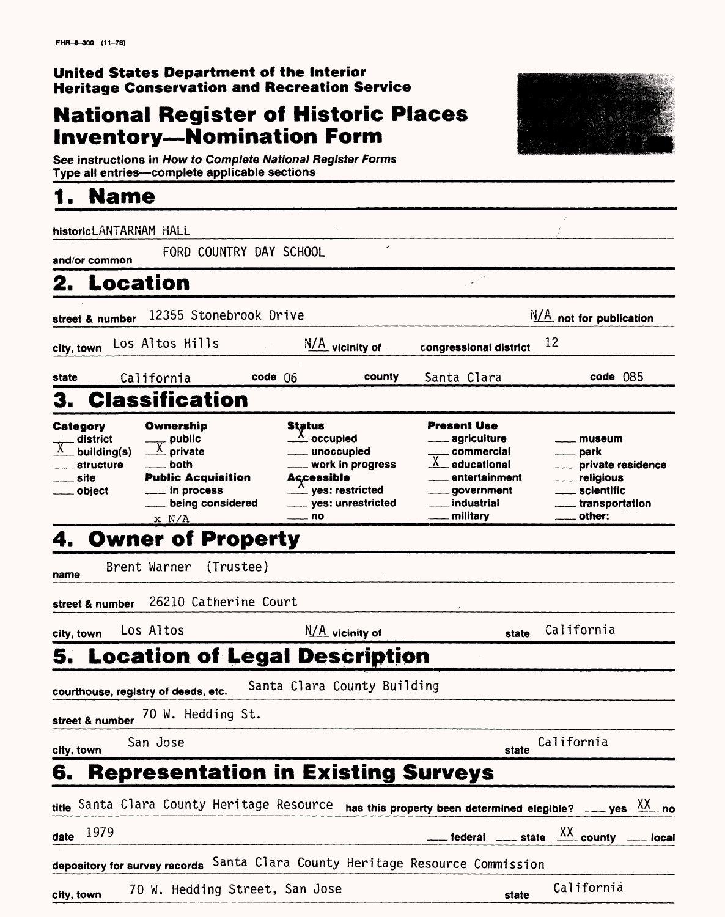### **United States Department of the Interior Heritage Conservation and Recreation Service**

## **National Register of Historic Places Inventory—Nomination Form**



See instructions in How to Complete National Register Forms Type all entries—complete applicable sections\_\_\_\_\_\_\_\_\_\_\_\_\_\_\_

## **1. Name\_\_\_\_\_\_\_\_\_\_\_\_\_\_\_\_\_\_**

| historicLANTARNAM HALL                                                    |                                                                                                                          |                                                                                                                                                             |                       |                                                                                                                        |                                                                                                                   |
|---------------------------------------------------------------------------|--------------------------------------------------------------------------------------------------------------------------|-------------------------------------------------------------------------------------------------------------------------------------------------------------|-----------------------|------------------------------------------------------------------------------------------------------------------------|-------------------------------------------------------------------------------------------------------------------|
| and/or common                                                             |                                                                                                                          | FORD COUNTRY DAY SCHOOL                                                                                                                                     |                       |                                                                                                                        |                                                                                                                   |
| <b>Location</b>                                                           |                                                                                                                          |                                                                                                                                                             |                       |                                                                                                                        |                                                                                                                   |
| street & number                                                           | 12355 Stonebrook Drive                                                                                                   |                                                                                                                                                             |                       |                                                                                                                        | $N/A$ not for publication                                                                                         |
| city, town                                                                | Los Altos Hills                                                                                                          | N/A vicinity of                                                                                                                                             |                       | congressional district                                                                                                 | 12                                                                                                                |
| state                                                                     | California                                                                                                               | $code$ 06                                                                                                                                                   | Santa Clara<br>county |                                                                                                                        | $code$ 085                                                                                                        |
|                                                                           | <b>Classification</b>                                                                                                    |                                                                                                                                                             |                       |                                                                                                                        |                                                                                                                   |
| <b>Category</b><br>district<br>building(s)<br>structure<br>site<br>object | Ownership<br>$\frac{1}{\sqrt{X}}$ public<br>both<br><b>Public Acquisition</b><br>in process<br>being considered<br>x N/A | Status<br>$\frac{\lambda}{\lambda}$ occupied<br>__ unoccupied<br>work in progress<br><b>Accessible</b><br>yes: restricted<br>____ yes: unrestricted<br>— no | <b>Present Use</b>    | agriculture<br>_ commercial<br>educational<br>entertainment<br><u>__</u> __ government<br>___ industrial<br>_ military | museum<br>—— park<br>____ private residence<br>religious<br>scientific<br><sub>---</sub> transportation<br>other: |
| 4.                                                                        | <b>Owner of Property</b>                                                                                                 |                                                                                                                                                             |                       |                                                                                                                        |                                                                                                                   |
|                                                                           | Brent Warner                                                                                                             | (Trustee)                                                                                                                                                   |                       |                                                                                                                        |                                                                                                                   |
| name<br>street & number                                                   | 26210 Catherine Court                                                                                                    |                                                                                                                                                             |                       |                                                                                                                        |                                                                                                                   |
| city, town                                                                | Los Altos                                                                                                                | N/A vicinity of                                                                                                                                             |                       | state                                                                                                                  | California                                                                                                        |
|                                                                           |                                                                                                                          | 5. Location of Legal Description                                                                                                                            |                       |                                                                                                                        |                                                                                                                   |
|                                                                           |                                                                                                                          | Santa Clara County Building                                                                                                                                 |                       |                                                                                                                        |                                                                                                                   |
|                                                                           | courthouse, registry of deeds, etc.<br>70 W. Hedding St.                                                                 |                                                                                                                                                             |                       |                                                                                                                        |                                                                                                                   |
| street & number                                                           | San Jose                                                                                                                 |                                                                                                                                                             |                       |                                                                                                                        | California                                                                                                        |
| city, town                                                                |                                                                                                                          |                                                                                                                                                             |                       | state                                                                                                                  |                                                                                                                   |
| 6.                                                                        |                                                                                                                          | <b>Representation in Existing Surveys</b>                                                                                                                   |                       |                                                                                                                        |                                                                                                                   |
|                                                                           |                                                                                                                          | title Santa Clara County Heritage Resource                                                                                                                  |                       |                                                                                                                        | has this property been determined elegible? ____ yes $X^X$ no                                                     |
| 1979<br>date                                                              |                                                                                                                          |                                                                                                                                                             |                       |                                                                                                                        | federal _____ state $\frac{XX}{XX}$ county _____ local                                                            |
|                                                                           |                                                                                                                          | depository for survey records Santa Clara County Heritage Resource Commission                                                                               |                       |                                                                                                                        |                                                                                                                   |
| city, town                                                                |                                                                                                                          | 70 W. Hedding Street, San Jose                                                                                                                              |                       | state                                                                                                                  | California                                                                                                        |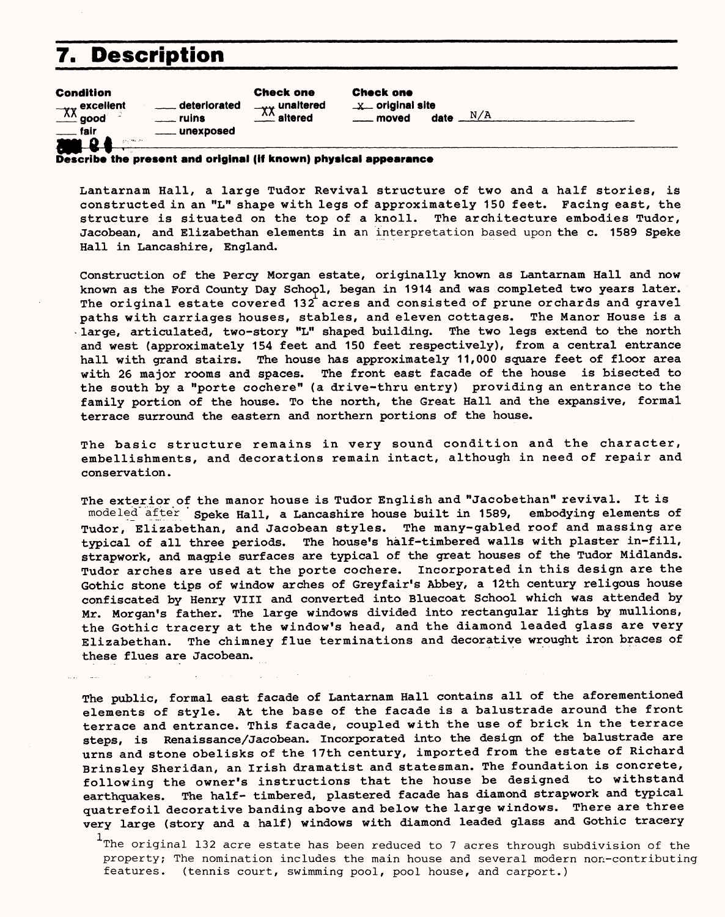## **7. Description**

| <b>Condition</b><br>$\frac{1}{2}$ excellent<br>ruins<br><u>__</u> __ fair<br>20000<br>applications after | <b>Check one</b><br>. deteriorated<br>$-\mathbf{v}\mathbf{v}$ unaltered<br>$\mathbf{r}$ altered<br>. unexposed | <b>Check one</b><br>$x$ original site<br>N/A<br>moved<br>date |  |
|----------------------------------------------------------------------------------------------------------|----------------------------------------------------------------------------------------------------------------|---------------------------------------------------------------|--|
|----------------------------------------------------------------------------------------------------------|----------------------------------------------------------------------------------------------------------------|---------------------------------------------------------------|--|

**Describe the present and original (if known) physical appearance**

Lantarnam Hall, a large Tudor Revival structure of two and a half stories, is constructed in an "L" shape with legs of approximately 150 feet. Facing east, the structure is situated on the top of a knoll. The architecture embodies Tudor, Jacobean, and Elizabethan elements in an interpretation based upon the c. 1589 Speke Hall in Lancashire, England.

Construction of the Percy Morgan estate, originally known as Lantarnam Hall and now known as the Ford County Day School, began in 1914 and was completed two years later. The original estate covered 132 acres and consisted of prune orchards and gravel paths with carriages houses, stables, and eleven cottages. The Manor House is a > large, articulated, two-story "L" shaped building. The two legs extend to the north and west (approximately 154 feet and 150 feet respectively), from a central entrance hall with grand stairs. The house has approximately 11,000 square feet of floor area with 26 major rooms and spaces. The front east facade of the house is bisected to the south by a "porte cochere" (a drive-thru entry) providing an entrance to the family portion of the house. To the north, the Great Hall and the expansive, formal terrace surround the eastern and northern portions of the house.

The basic structure remains in very sound condition and the character, embellishments, and decorations remain intact, although in need of repair and conservation.

The exterior of the manor house is Tudor English and "Jacobethan" revival. It is modeled after Speke Hall, a Lancashire house built in 1589, embodying elements of Tudor, Elizabethan, and Jacobean styles. The many-gabled roof and massing are typical of all three periods. The house's half-timbered walls with plaster in-fill, strapwork, and magpie surfaces are typical of the great houses of the Tudor Midlands. Tudor arches are used at the porte cochere. Incorporated in this design are the Gothic stone tips of window arches of Greyfair's Abbey, a 12th century religous house confiscated by Henry VIII and converted into Bluecoat School which was attended by Mr. Morgan's father. The large windows divided into rectangular lights by mullions, the Gothic tracery at the window's head, and the diamond leaded glass are very Elizabethan. The chimney flue terminations and decorative wrought iron braces of these flues are Jacobean.

The public, formal east facade of Lantarnam Hall contains all of the aforementioned elements of style. At the base of the facade is a balustrade around the front terrace and entrance. This facade, coupled with the use of brick in the terrace steps, is Renaissance/Jacobean. Incorporated into the design of the balustrade are urns and stone obelisks of the 17th century, imported from the estate of Richard Brinsley Sheridan, an Irish dramatist and statesman. The foundation is concrete, following the owner's instructions that the house be designed to withstand earthquakes. The half- timbered, plastered facade has diamond strapwork and typical quatrefoil decorative banding above and below the large windows. There are three very large (story and a half) windows with diamond leaded glass and Gothic tracery

 $1$ The original 132 acre estate has been reduced to 7 acres through subdivision of the property; The nomination includes the main house and several modern non-contributing features. (tennis court, swimming pool, pool house, and carport.)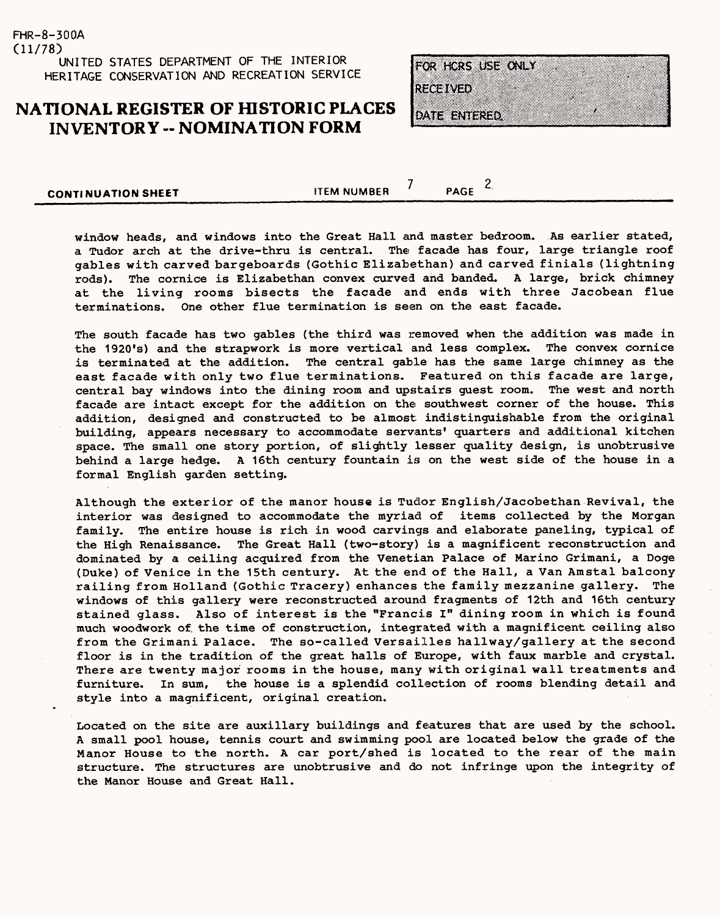## **NATIONAL REGISTER OF HISTORIC PLACES INVENTORY - NOMINATION FORM**

FOR HORS USE ONLY **RECEIVED** DATE ENTERED.

**CONTINUATION SHEET ITEM NUMBER 1** PAGE 2.

window heads, and windows into the Great Hall and master bedroom. As earlier stated, a Tudor arch at the drive-thru is central. The facade has four, large triangle roof gables with carved bargeboards (Gothic Elizabethan) and carved finials (lightning rods). The cornice is Elizabethan convex curved and banded. A large, brick chimney at the living rooms bisects the facade and ends with three Jacobean flue terminations. One other flue termination is seen on the east facade.

The south facade has two gables (the third was removed when the addition was made in the 1920's) and the strapwork is more vertical and less complex. The convex cornice is terminated at the addition. The central gable has the same large chimney as the east facade with only two flue terminations. Featured on this facade are large, central bay windows into the dining room and upstairs guest room. The west and north facade are intact except for the addition on the southwest corner of the house. This addition, designed and constructed to be almost indistinguishable from the original building, appears necessary to accommodate servants' quarters and additional kitchen space. The small one story portion, of slightly lesser quality design, is unobtrusive behind a large hedge. A 16th century fountain is on the west side of the house in a formal English garden setting.

Although the exterior of the manor house is Tudor English/Jacobethan Revival, the interior was designed to accommodate the myriad of items collected by the Morgan family. The entire house is rich in wood carvings and elaborate paneling, typical of the High Renaissance. The Great Hall (two-story) is a magnificent reconstruction and dominated by a ceiling acquired from the Venetian Palace of Marino Grimani, a Doge (Duke) of Venice in the 15th century. At the end of the Hall, a Van Amstal balcony railing from Holland (Gothic Tracery) enhances the family mezzanine gallery. The windows of this gallery were reconstructed around fragments of 12th and 16th century stained glass. Also of interest is the "Francis I" dining room in which is found much woodwork of. the time of construction, integrated with a magnificent ceiling also from the Grimani Palace. The so-called Versailles hallway/gallery at the second floor is in the tradition of the great halls of Europe, with faux marble and crystal. There are twenty major rooms in the house, many with original wall treatments and furniture. In sum, the house is a splendid collection of rooms blending detail and style into a magnificent, original creation.

Located on the site are auxiliary buildings and features that are used by the school. A small pool house, tennis court and swimming pool are located below the grade of the Manor House to the north. A car port/shed is located to the rear of the main structure. The structures are unobtrusive and do not infringe upon the integrity of the Manor House and Great Hall.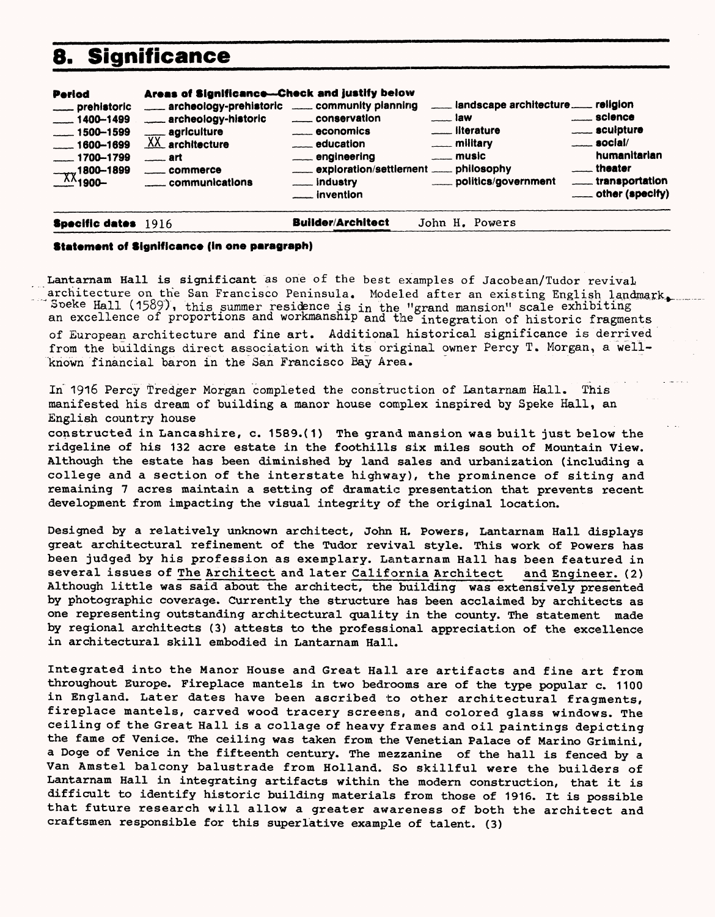## **8. Significance**

| Period<br>prehistoric<br>$- 1400 - 1499$<br>$-1500 - 1599$<br>$\frac{1600 - 1699}{1600 - 1699}$<br>$-1700 - 1799$<br>$\frac{1800-1899}{1900-}$ | Areas of Significance-Check and justify below<br>archeology-prehistoric _____ community planning<br>archeology-historic<br>$\frac{1}{XX}$ agriculture<br>$\equiv$ art<br>_____ commerce<br>communications | _____ conservation<br>$\equiv$ economics<br>education<br>engineering<br>exploration/settlement _____ philosophy<br>___ industry<br><u>__</u> __ invention | ___ landscape architecture___ religion<br>$\equiv$ law<br>____ literature<br>____ military<br>$\equiv$ music<br>politics/government | science<br>_____ sculpture<br>$\equiv$ social/<br>humanitarian<br><u>__</u> __theater<br>transportation |
|------------------------------------------------------------------------------------------------------------------------------------------------|-----------------------------------------------------------------------------------------------------------------------------------------------------------------------------------------------------------|-----------------------------------------------------------------------------------------------------------------------------------------------------------|-------------------------------------------------------------------------------------------------------------------------------------|---------------------------------------------------------------------------------------------------------|
|                                                                                                                                                |                                                                                                                                                                                                           | _ _ _ _ _ _ _ _ _                                                                                                                                         |                                                                                                                                     |                                                                                                         |

**Specific data\* 1916 Builder/Architect** John H. Powers

#### **Statement of Significance (in one paragraph)**

Lantarnam Hall is significant as one of the best examples of Jacobean/Tudor revival architecture on the San Francisco Peninsula. Modeled after an existing English landmark. Soeke Hall (1589), this summer residence is in the "grand mansion" scale exhibiting an excellence of proportions and workmanship and the integration of historic fragments of European architecture and fine art. Additional historical significance is derrived from the buildings direct association with its original owner Percy T. Morgan, a wellknown financial baron in the San Francisco Bay Area.

In 1916 Percy Tredger Morgan completed the construction of Lantarnam Hall. This manifested his dream of building a manor house complex inspired by Speke Hall, an English country house

constructed in Lancashire, c. 1589.(1) The grand mansion was built just below the ridgeline of his 132 acre estate in the foothills six miles south of Mountain View. Although the estate has been diminished by land sales and urbanization (including a college and a section of the interstate highway), the prominence of siting and remaining 7 acres maintain a setting of dramatic presentation that prevents recent development from impacting the visual integrity of the original location.

Designed by a relatively unknown architect, John H. Powers, Lantarnam Hall displays great architectural refinement of the Tudor revival style. This work of Powers has been judged by his profession as exemplary. Lantarnam Hall has been featured in several issues of The Architect and later California Architect and Engineer. (2) Although little was said about the architect, the building was extensively presented by photographic coverage. Currently the structure has been acclaimed by architects as one representing outstanding architectural quality in the county. The statement made by regional architects (3) attests to the professional appreciation of the excellence in architectural skill embodied in Lantarnam Hall.

Integrated into the Manor House and Great Hall are artifacts and fine art from throughout Europe. Fireplace mantels in two bedrooms are of the type popular c. 1100 in England. Later dates have been ascribed to other architectural fragments, fireplace mantels, carved wood tracery screens, and colored glass windows. The ceiling of the Great Hall is a collage of heavy frames and oil paintings depicting the fame of Venice. The ceiling was taken from the Venetian Palace of Marino Grimini, a Doge of Venice in the fifteenth century. The mezzanine of the hall is fenced by a Van Amstel balcony balustrade from Holland. So skillful were the builders of Lantarnam Hall in integrating artifacts within the modern construction, that it is difficult to identify historic building materials from those of 1916. It is possible that future research will allow a greater awareness of both the architect and craftsmen responsible for this superlative example of talent. (3)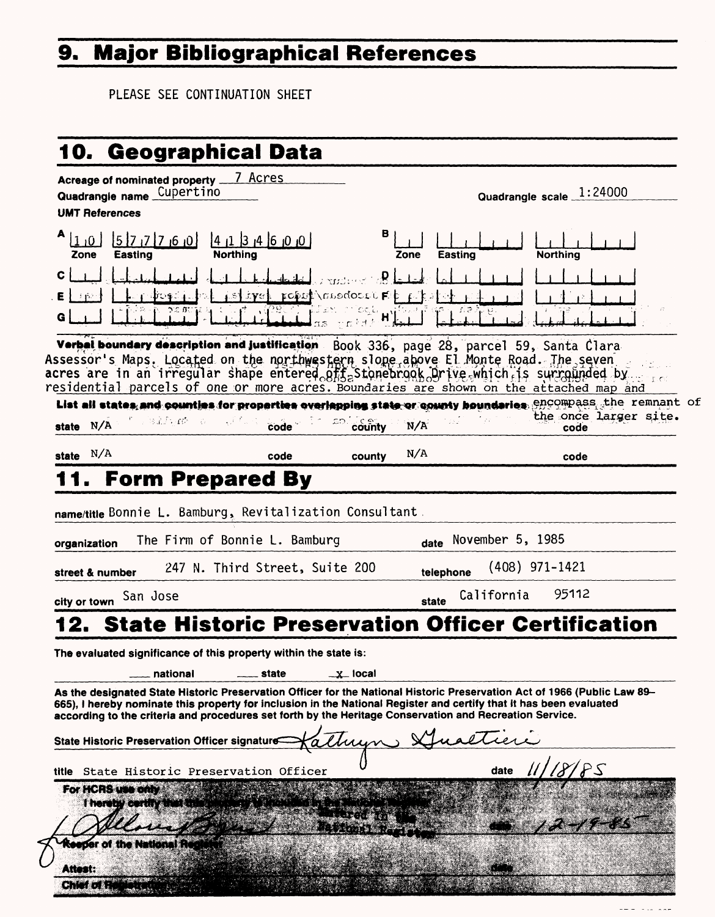# **9. Major Bibliographical References**

PLEASE SEE CONTINUATION SHEET

| Acreage of nominated property ___7_Acres                                                                                                                                                                                                                                                                                                                       |                             |                                                          |                                 |                                     |           |                  |                          |                       |
|----------------------------------------------------------------------------------------------------------------------------------------------------------------------------------------------------------------------------------------------------------------------------------------------------------------------------------------------------------------|-----------------------------|----------------------------------------------------------|---------------------------------|-------------------------------------|-----------|------------------|--------------------------|-----------------------|
| Quadrangle name Cupertino<br><b>UMT References</b>                                                                                                                                                                                                                                                                                                             |                             |                                                          |                                 |                                     |           |                  | Quadrangle scale 1:24000 |                       |
| 1 <sub>10</sub><br>Zone<br>Easting                                                                                                                                                                                                                                                                                                                             | $ 5 7 7 7$ <sub>0</sub>     | $ 0 $ , $ 1 $ , $ 3 $ , $ 4 $ , $ 0 $<br><b>Northing</b> |                                 | в                                   | Zone      | <b>Easting</b>   | <b>Northing</b>          |                       |
| C<br>Е<br>G                                                                                                                                                                                                                                                                                                                                                    |                             |                                                          | istryet ropot modocre Fit riket | $\mathbf{p}$<br>$H_{\rm eff}$ in an |           |                  |                          |                       |
| Verbal boundary description and justification Book 336, page 28, parcel 59, Santa Clara<br>Assessor's Maps. Located on the northwestern slope above El Monte Road. The seven<br>acres are in an irregular shape entered offs Stonebrook Orive which is surrounded by<br>residential parcels of one or more acres. Boundaries are shown on the attached map and |                             |                                                          |                                 |                                     |           |                  |                          |                       |
| List all states and counties for properties overlapping state or county houndaries encompass, the remnant<br>state N/A                                                                                                                                                                                                                                         |                             | n salfyrð o v <sup>yr</sup> ss <mark>code</mark> r       |                                 | $20 \frac{\text{c}}{\text{cou} }$   | N/A       |                  | code                     | the once larger site. |
| state $N/A$                                                                                                                                                                                                                                                                                                                                                    |                             | code                                                     |                                 | county                              | N/A       |                  | code                     |                       |
|                                                                                                                                                                                                                                                                                                                                                                |                             | <b>Form Prepared By</b>                                  |                                 |                                     |           |                  |                          |                       |
| name/title Bonnie L. Bamburg, Revitalization Consultant.                                                                                                                                                                                                                                                                                                       |                             |                                                          |                                 |                                     |           |                  |                          |                       |
| organization                                                                                                                                                                                                                                                                                                                                                   |                             | The Firm of Bonnie L. Bamburg                            |                                 |                                     | date      | November 5, 1985 |                          |                       |
| street & number                                                                                                                                                                                                                                                                                                                                                |                             | 247 N. Third Street, Suite 200                           |                                 |                                     | telephone |                  | $(408)$ 971-1421         |                       |
| city or town                                                                                                                                                                                                                                                                                                                                                   | San Jose                    |                                                          |                                 |                                     | state     | California       | 95112                    |                       |
| 2. State Historic Preservation Officer Certification                                                                                                                                                                                                                                                                                                           |                             |                                                          |                                 |                                     |           |                  |                          |                       |
| The evaluated significance of this property within the state is:                                                                                                                                                                                                                                                                                               |                             |                                                          |                                 |                                     |           |                  |                          |                       |
|                                                                                                                                                                                                                                                                                                                                                                | national                    | state                                                    |                                 | $\_x\_$ local                       |           |                  |                          |                       |
| As the designated State Historic Preservation Officer for the National Historic Preservation Act of 1966 (Public Law 89–<br>665), I hereby nominate this property for inclusion in the National Register and certify that it has been evaluated<br>according to the criteria and procedures set forth by the Heritage Conservation and Recreation Service.     |                             |                                                          |                                 |                                     |           |                  |                          |                       |
| State Historic Preservation Officer signature                                                                                                                                                                                                                                                                                                                  |                             |                                                          |                                 |                                     |           |                  |                          |                       |
| title State Historic Preservation Officer                                                                                                                                                                                                                                                                                                                      |                             |                                                          |                                 |                                     |           | date             | $\sqrt{8/85}$            |                       |
| For HCRS use only                                                                                                                                                                                                                                                                                                                                              |                             |                                                          |                                 |                                     |           |                  |                          |                       |
|                                                                                                                                                                                                                                                                                                                                                                | I hereby certify that this? |                                                          |                                 |                                     |           |                  |                          |                       |
|                                                                                                                                                                                                                                                                                                                                                                |                             |                                                          |                                 |                                     |           |                  |                          |                       |
| <b>Seeper of the National Red</b>                                                                                                                                                                                                                                                                                                                              |                             |                                                          |                                 |                                     |           |                  |                          |                       |
| Attest:<br>5559                                                                                                                                                                                                                                                                                                                                                |                             |                                                          |                                 |                                     |           |                  |                          |                       |

of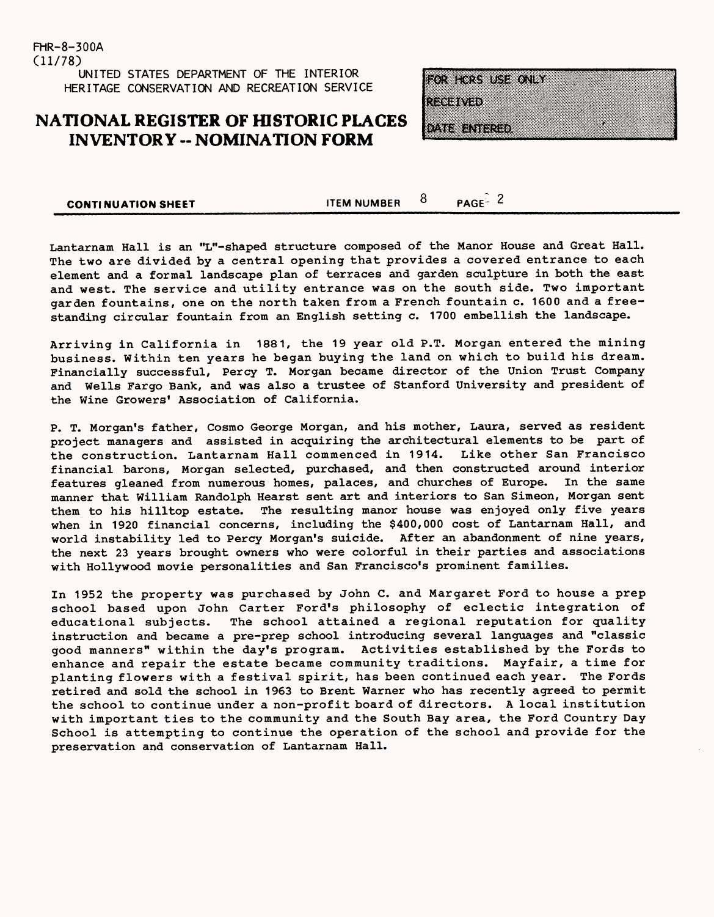FHR-8-300A (11/78) UNITED STATES DEPARTMENT OF THE INTERIOR HERITAGE CONSERVATION AND RECREATION SERVICE

### **NATIONAL REGISTER OF HISTORIC PLACES INVENTORY - NOMINATION FORM**

FOR HORS USE ONLY **RAGE (RAGE)** 

o nella nell'alb

**CONTINUATION SHEET ITEM NUMBER**  $\overline{8}$  **PAGE**<sup>2</sup> 2

Lantarnam Hall is an "L"-shaped structure composed of the Manor House and Great Hall. The two are divided by a central opening that provides a covered entrance to each element and a formal landscape plan of terraces and garden sculpture in both the east and west. The service and utility entrance was on the south side. Two important garden fountains, one on the north taken from a French fountain c. 1600 and a freestanding circular fountain from an English setting c. 1700 embellish the landscape.

Arriving in California in 1881, the 19 year old P.T. Morgan entered the mining business. Within ten years he began buying the land on which to build his dream. Financially successful, Percy T. Morgan became director of the Union Trust Company and Wells Fargo Bank, and was also a trustee of Stanford University and president of the Wine Growers' Association of California.

P. T. Morgan's father, Cosmo George Morgan, and his mother, Laura, served as resident project managers and assisted in acquiring the architectural elements to be part of the construction. Lantarnam Hall commenced in 1914. Like other San Francisco financial barons, Morgan selected, purchased, and then constructed around interior features gleaned from numerous homes, palaces, and churches of Europe. In the same manner that William Randolph Hearst sent art and interiors to San Simeon, Morgan sent them to his hilltop estate. The resulting manor house was enjoyed only five years when in 1920 financial concerns, including the \$400,000 cost of Lantarnam Hall, and world instability led to Percy Morgan's suicide. After an abandonment of nine years, the next 23 years brought owners who were colorful in their parties and associations with Hollywood movie personalities and San Francisco's prominent families.

In 1952 the property was purchased by John C. and Margaret Ford to house a prep school based upon John Carter Ford's philosophy of eclectic integration of educational subjects. The school attained a regional reputation for quality instruction and became a pre-prep school introducing several languages and "classic good manners" within the day's program. Activities established by the Fords to enhance and repair the estate became community traditions. Mayfair, a time for planting flowers with a festival spirit, has been continued each year. The Fords retired and sold the school in 1963 to Brent Warner who has recently agreed to permit the school to continue under a non-profit board of directors. A local institution with important ties to the community and the South Bay area, the Ford Country Day School is attempting to continue the operation of the school and provide for the preservation and conservation of Lantarnam Hall.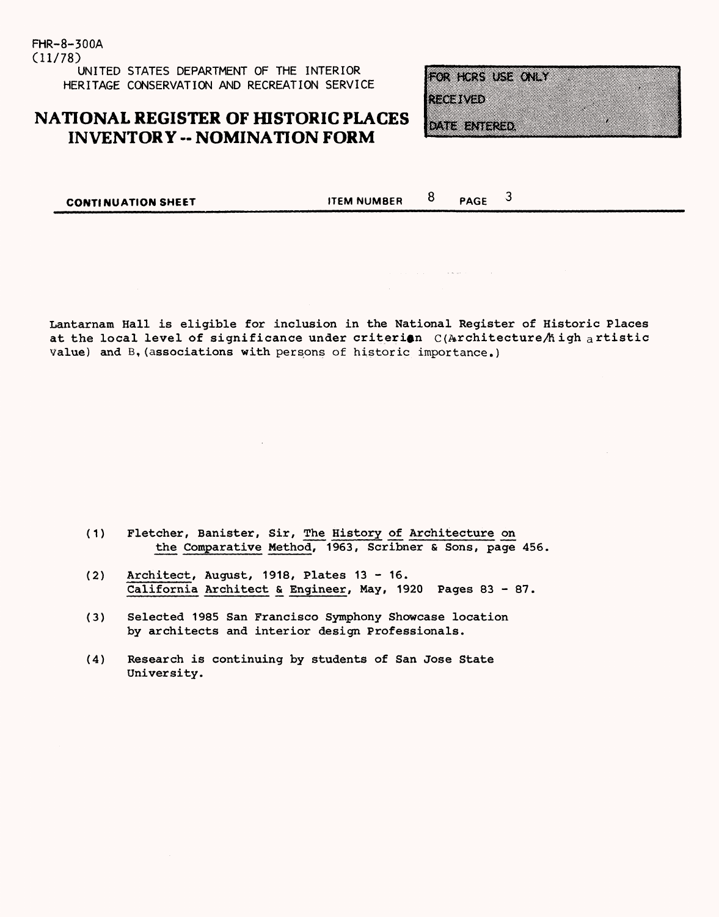FHR-8-300A (11/78) UNITED STATES DEPARTMENT OF THE INTERIOR HERITAGE CONSERVATION AND RECREATION SERVICE

### **NATIONAL REGISTER OF HISTORIC PLACES INVENTORY -- NOMINATION FORM**

FOR HORS USE ONLY

**REGIONAL** 

**Matalana** (1970)

**CONTINUATION SHEET ITEM NUMBER** 8 **PAGE** 

 $\mathbf{3}$ 

Lantarnam Hall is eligible for inclusion in the National Register of Historic Places at the local level of significance under criterion  $C(Ar$ chitecture  $A$  igh artistic Value) and B,(associations with persons of historic importance.)

- (1) Fletcher, Banister, Sir, The History of Architecture on the Comparative Method, 1963, Scribner & Sons, page 456,
- (2) Architect, August, 1918, Plates 13 16. California Architect & Engineer, May, 1920 Pages 83 - 87.
- (3) Selected 1985 San Francisco Symphony Showcase location by architects and interior design Professionals.
- (4) Research is continuing by students of San Jose State University.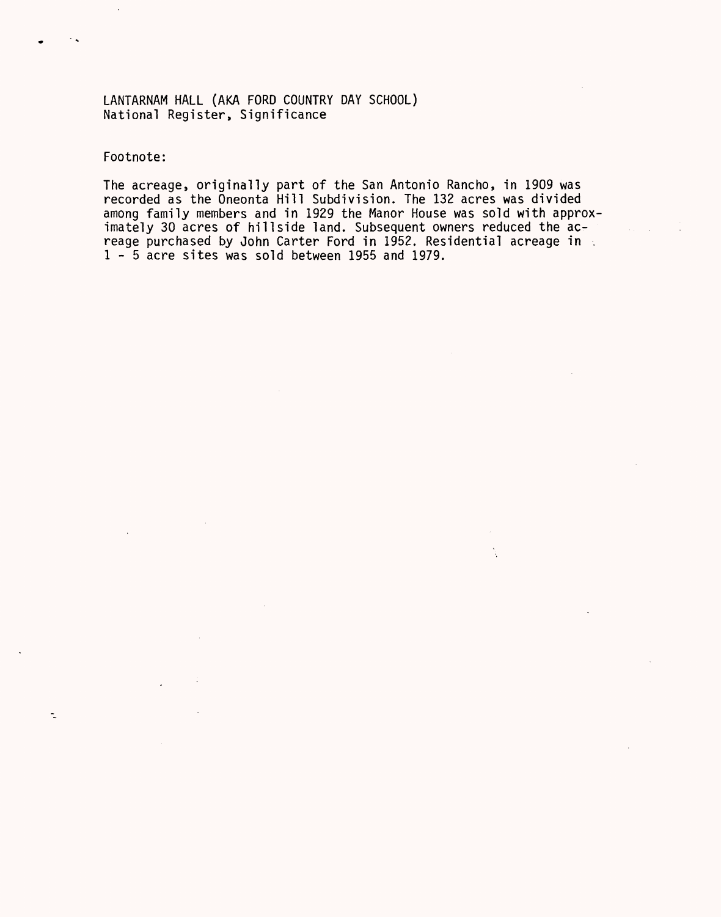LANTARNAM HALL (AKA FORD COUNTRY DAY SCHOOL) National Register, Significance

Footnote:

 $\tilde{\mathbb{L}}$ 

The acreage, originally part of the San Antonio Rancho, in 1909 was recorded as the Oneonta Hill Subdivision. The 132 acres was divided among family members and in 1929 the Manor House was sold with approximately 30 acres of hillside land. Subsequent owners reduced the acreage purchased by John Carter Ford in 1952. Residential acreage in . 1-5 acre sites was sold between 1955 and 1979.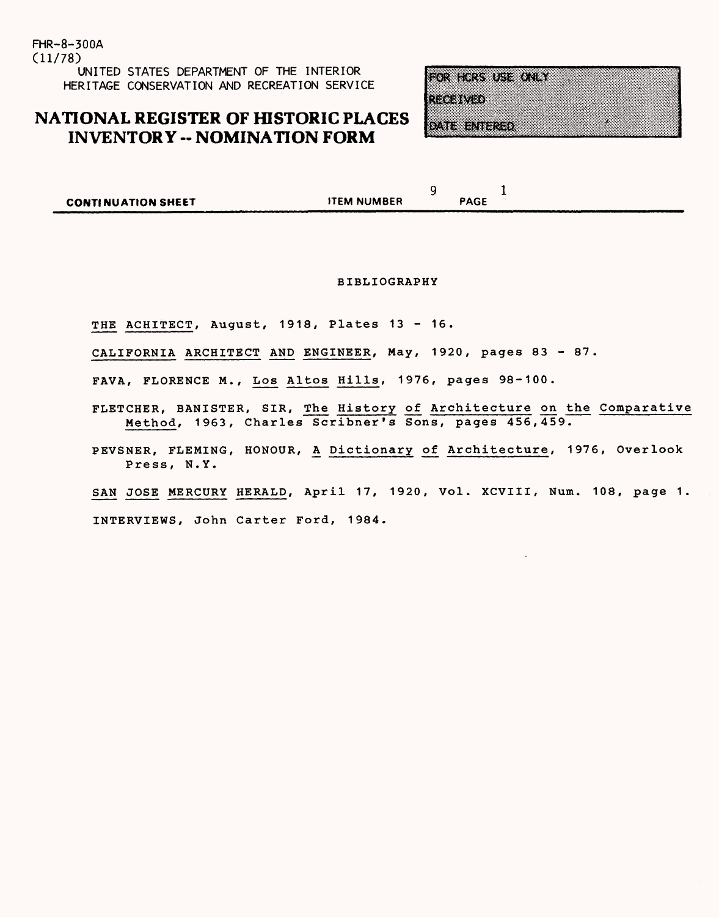FHR-8-300A (11/78) UNITED STATES DEPARTMENT OF THE INTERIOR HERITAGE CONSERVATION AND RECREATION SERVICE

### **NATIONAL REGISTER OF HISTORIC PLACES INVENTORY - NOMINATION FORM**

|  |  |  |  |  | FOR FLKS USE ONLY |
|--|--|--|--|--|-------------------|
|  |  |  |  |  |                   |
|  |  |  |  |  |                   |
|  |  |  |  |  |                   |
|  |  |  |  |  |                   |

RésiWéd

<u>Municipia</u>

| <b>CONTINUATION SHEET</b> | <b>ITEM NUMBER</b> | PAGE |  |
|---------------------------|--------------------|------|--|
|                           |                    |      |  |

#### BIBLIOGRAPHY

THE ACHITECT, August, 1918, Plates 13 - 16.

CALIFORNIA ARCHITECT AND ENGINEER, May, 1920, pages 83 - 87.

FAVA, FLORENCE M., Los Altos Hills, 1976, pages 98-100.

FLETCHER, BANISTER, SIR, The History of Architecture on the Comparative Method, 1963, Charles Scribner's Sons, pages 456,459.

PEVSNER, FLEMING, HONOUR, A Dictionary of Architecture, 1976, Overlook Press, N.Y.

SAN JOSE MERCURY HERALD, April 17, 1920, Vol. XCVIII, Num. 108, page 1.

INTERVIEWS, John Carter Ford, 1984.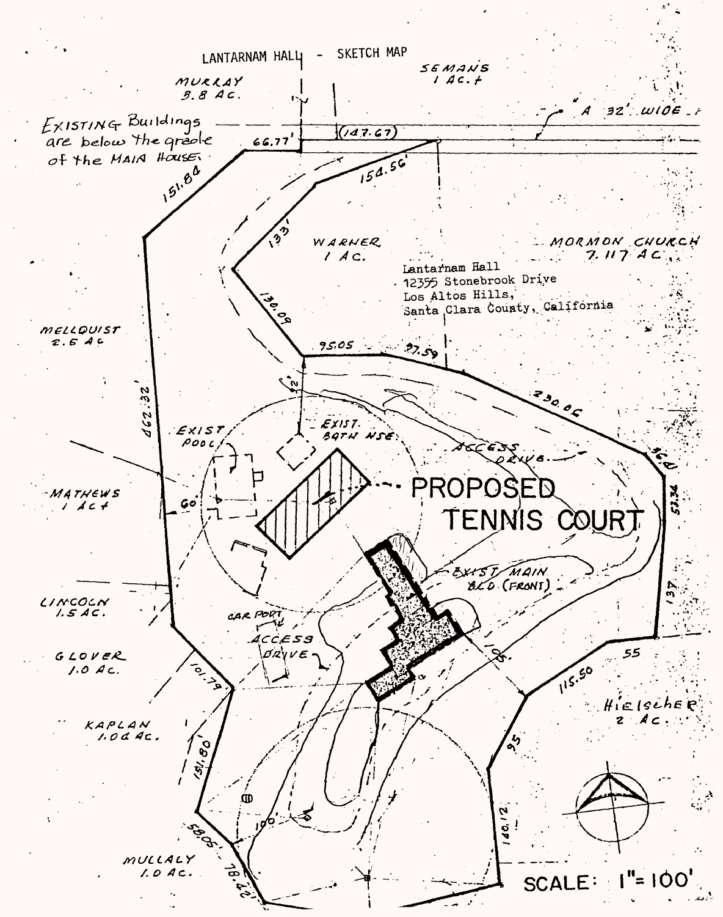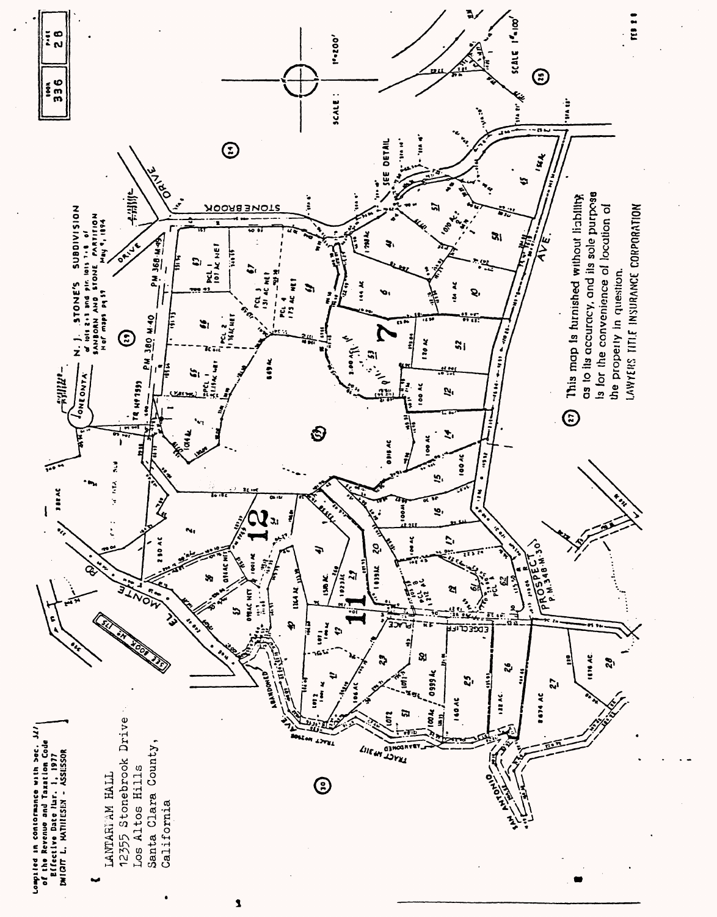